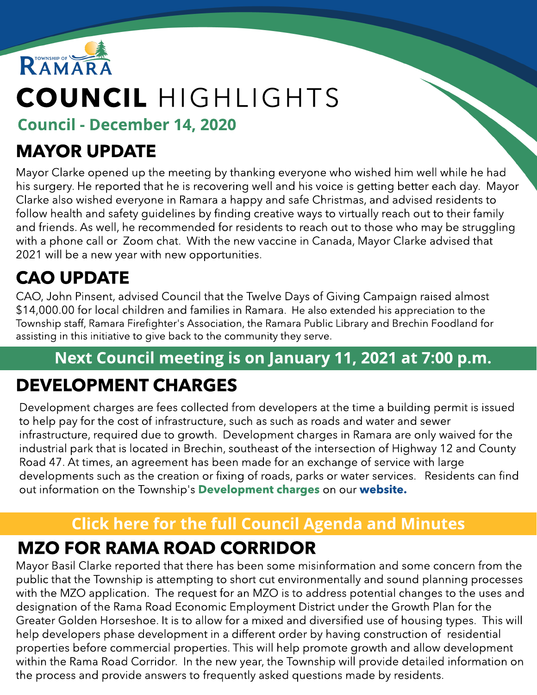

# COUNCIL HIGHLIGHTS

Council - December 14, 2020

## MAYOR UPDATE

Mayor Clarke opened up the meeting by thanking everyone who wished him well while he had his surgery. He reported that he is recovering well and his voice is getting better each day. Mayor Clarke also wished everyone in Ramara a happy and safe Christmas, and advised residents to follow health and safety guidelines by finding creative ways to virtually reach out to their family and friends. As well, he recommended for residents to reach out to those who may be struggling with a phone call or Zoom chat. With the new vaccine in Canada, Mayor Clarke advised that 2021 will be a new year with new opportunities.

## CAO UPDATE

CAO, John Pinsent, advised Council that the Twelve Days of Giving Campaign raised almost \$14,000.00 for local children and families in Ramara. He also extended his appreciation to the Township staff, Ramara Firefighter's Association, the Ramara Public Library and Brechin Foodland for assisting in this initiative to give back to the community they serve.

### Next Council meeting is on January 11, 2021 at 7:00 p.m.

### DEVELOPMENT CHARGES

Development charges are fees collected from developers at the time a building permit is issued to help pay for the cost of infrastructure, such as such as roads and water and sewer infrastructure, required due to growth. Development charges in Ramara are only waived for the industrial park that is located in Brechin, southeast of the intersection of Highway 12 and County Road 47. At times, an agreement has been made for an exchange of service with large developments such as the creation or fixing of roads, parks or water services. Residents can find out information on the Township's [Development](https://www.ramara.ca/en/business-and-development/ramara-industrial-park.aspx) [charges](https://www.ramara.ca/en/business-and-development/ramara-industrial-park.aspx) on our w[ebsite.](http://www.ramara.ca)

## **[Click](https://ramara.civicweb.net/portal/) [here](https://ramara.civicweb.net/portal/) [for](https://ramara.civicweb.net/portal/) t[he](https://ramara.civicweb.net/portal/) [full](https://ramara.civicweb.net/portal/) [Council](https://ramara.civicweb.net/portal/) [Agenda](https://ramara.civicweb.net/portal/) [and](https://ramara.civicweb.net/portal/) [Minut](https://ramara.civicweb.net/portal/)es**

#### MZO FOR RAMA ROAD CORRIDOR

Mayor Basil Clarke reported that there has been some misinformation and some concern from the public that the Township is attempting to short cut environmentally and sound planning processes with the MZO application. The request for an MZO is to address potential changes to the uses and designation of the Rama Road Economic Employment District under the Growth Plan for the Greater Golden Horseshoe. It is to allow for a mixed and diversified use of housing types. This will help developers phase development in a different order by having construction of residential properties before commercial properties. This will help promote growth and allow development within the Rama Road Corridor. In the new year, the Township will provide detailed information on the process and provide answers to frequently asked questions made by residents.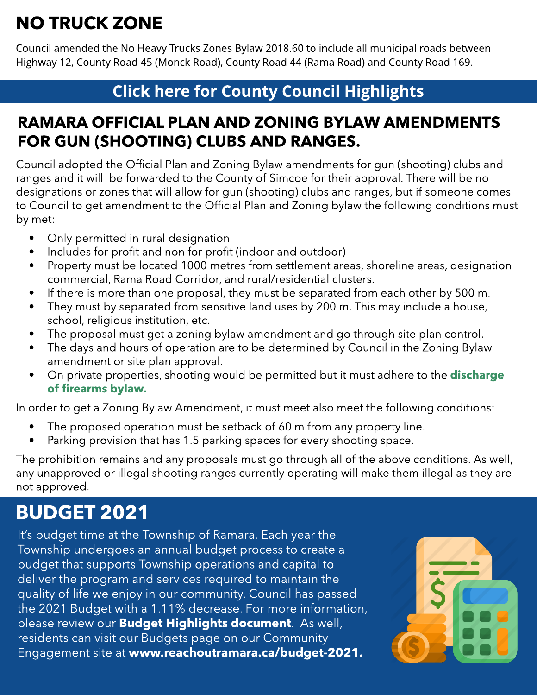## NO TRUCK ZONE

Council amended the No Heavy Trucks Zones Bylaw 2018.60 to include all municipal roads between Highway 12, County Road 45 (Monck Road), County Road 44 (Rama Road) and County Road 169.

#### **[Click](https://ramara.civicweb.net/portal/) [here](https://ramara.civicweb.net/portal/) [for](https://ramara.civicweb.net/portal/) [Count](https://www.simcoe.ca/dpt/ccd/newsletters)y [Council](https://www.simcoe.ca/dpt/ccd/newsletters) [Highlight](https://www.simcoe.ca/dpt/ccd/newsletters)s**

#### RAMARA OFFICIAL PLAN AND ZONING BYLAW AMENDMENTS FOR GUN (SHOOTING) CLUBS AND RANGES.

Council adopted the Official Plan and Zoning Bylaw amendments for gun (shooting) clubs and ranges and it will be forwarded to the County of Simcoe for their approval. There will be no designations or zones that will allow for gun (shooting) clubs and ranges, but if someone comes to Council to get amendment to the Official Plan and Zoning bylaw the following conditions must by met:

- Only permitted in rural designation
- Includes for profit and non for profit (indoor and outdoor)
- Property must be located 1000 metres from settlement areas, shoreline areas, designation commercial, Rama Road Corridor, and rural/residential clusters.
- If there is more than one proposal, they must be separated from each other by 500 m.
- They must by separated from sensitive land uses by 200 m. This may include a house, school, religious institution, etc.
- The proposal must get a zoning bylaw amendment and go through site plan control.
- The days and hours of operation are to be determined by Council in the Zoning Bylaw amendment or site plan approval.
- On private properties, shooting would be permitted but it must adhere to the **[discharge](https://www.ramara.ca/en/municipal-office/discharge-of-firearms-bylaw.aspx)** [of](https://www.ramara.ca/en/municipal-office/discharge-of-firearms-bylaw.aspx) [firearms](https://www.ramara.ca/en/municipal-office/discharge-of-firearms-bylaw.aspx) [bylaw.](https://www.ramara.ca/en/municipal-office/discharge-of-firearms-bylaw.aspx)

TWELVE DAYS OF GIVING In order to get a Zoning Bylaw Amendment, it must meet also meet the following conditions:

- The proposed operation must be setback of 60 m from any property line.
- Parking provision that has 1.5 parking spaces for every shooting space.

The prohibition remains and any proposals must go through all of the above conditions. As well, any unapproved or illegal shooting ranges currently operating will make them illegal as they are not approved.

## BUDGET 2021

It's budget time at the Township of Ramara. Each year the Township undergoes an annual budget process to create a budget that supports Township operations and capital to deliver the program and services required to maintain the quality of life we enjoy in our community. Council has passed the 2021 Budget with a 1.11% decrease. For more information, please review our **[Budget](https://reachoutramara.ca/18167/widgets/71874/documents/43815) [Highlights](https://reachoutramara.ca/18167/widgets/71874/documents/43815) [document](https://reachoutramara.ca/18167/widgets/71874/documents/43815)**. As well, residents can visit our Budgets page on our Community Engagement site at www.reachoutramara.ca/budget-2021.